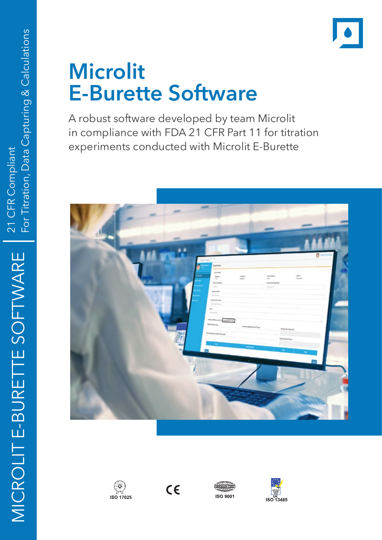# **Microlit E-Burette Software**

A robust software developed by team Microlit in compliance with FDA 21 CFR Part 11 for titration experiments conducted with Microlit E-Burette









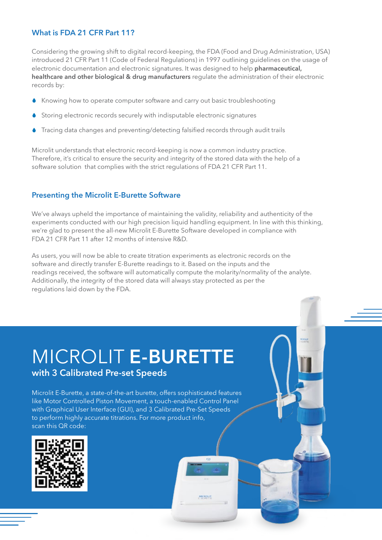#### **What is FDA 21 CFR Part 11?**

Considering the growing shift to digital record-keeping, the FDA (Food and Drug Administration, USA) introduced 21 CFR Part 11 (Code of Federal Regulations) in 1997 outlining guidelines on the usage of electronic documentation and electronic signatures. It was designed to help **pharmaceutical, healthcare and other biological & drug manufacturers** regulate the administration of their electronic records by:

- Knowing how to operate computer software and carry out basic troubleshooting
- Storing electronic records securely with indisputable electronic signatures
- Tracing data changes and preventing/detecting falsified records through audit trails

Microlit understands that electronic record-keeping is now a common industry practice. Therefore, it's critical to ensure the security and integrity of the stored data with the help of a software solution that complies with the strict regulations of FDA 21 CFR Part 11.

#### **Presenting the Microlit E-Burette Software**

We've always upheld the importance of maintaining the validity, reliability and authenticity of the experiments conducted with our high precision liquid handling equipment. In line with this thinking, we're glad to present the all-new Microlit E-Burette Software developed in compliance with FDA 21 CFR Part 11 after 12 months of intensive R&D.

As users, you will now be able to create titration experiments as electronic records on the software and directly transfer E-Burette readings to it. Based on the inputs and the readings received, the software will automatically compute the molarity/normality of the analyte. Additionally, the integrity of the stored data will always stay protected as per the regulations laid down by the FDA.

**MCROLD** 

# MICROLIT **E-BURETTE**

### **with 3 Calibrated Pre-set Speeds**

Microlit E-Burette, a state-of-the-art burette, offers sophisticated features like Motor Controlled Piston Movement, a touch-enabled Control Panel with Graphical User Interface (GUI), and 3 Calibrated Pre-Set Speeds to perform highly accurate titrations. For more product info, scan this QR code:

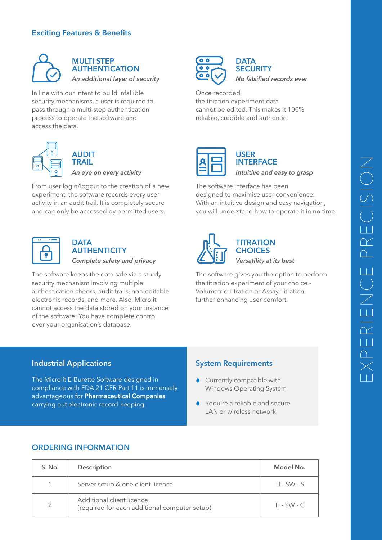#### **Exciting Features & Benefits**



#### **MULTI STEP AUTHENTICATION** *An additional layer of security*

In line with our intent to build infallible security mechanisms, a user is required to pass through a multi-step authentication process to operate the software and access the data.



#### **AUDIT TRAIL**

*An eye on every activity*

From user login/logout to the creation of a new experiment, the software records every user activity in an audit trail. It is completely secure and can only be accessed by permitted users.



#### **DATA AUTHENTICITY** *Complete safety and privacy*

The software keeps the data safe via a sturdy security mechanism involving multiple authentication checks, audit trails, non-editable electronic records, and more. Also, Microlit cannot access the data stored on your instance of the software: You have complete control over your organisation's database.





Once recorded, the titration experiment data cannot be edited. This makes it 100% reliable, credible and authentic.



#### **USER INTERFACE** *Intuitive and easy to grasp*

The software interface has been designed to maximise user convenience. With an intuitive design and easy navigation, you will understand how to operate it in no time.



### **TITRATION CHOICES** *Versatility at its best*

The software gives you the option to perform the titration experiment of your choice - Volumetric Titration or Assay Titration further enhancing user comfort.

#### **Industrial Applications**

The Microlit E-Burette Software designed in compliance with FDA 21 CFR Part 11 is immensely advantageous for **Pharmaceutical Companies** carrying out electronic record-keeping.

#### **System Requirements**

- Currently compatible with Windows Operating System
- Require a reliable and secure LAN or wireless network

#### **ORDERING INFORMATION**

| S. No. | Description                                                                | Model No.     |
|--------|----------------------------------------------------------------------------|---------------|
|        | Server setup & one client licence                                          | $TI - SW - S$ |
| 2      | Additional client licence<br>(required for each additional computer setup) | $TI$ - SW - C |